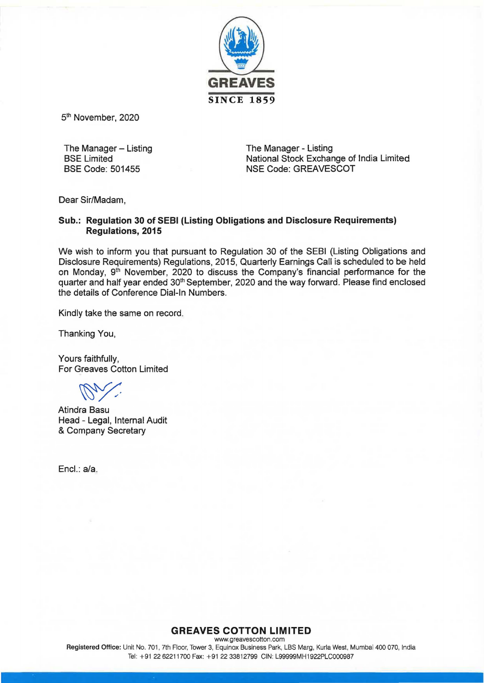

5<sup>th</sup> November, 2020

The Manager  $-$  Listing BSE Limited BSE Code: 501455

The Manager - Listing National Stock Exchange of India Limited NSE Code: GREAVESCOT

Dear Sir/Madam,

## Sub.: Regulation 30 of SEBI (Listing Obligations and Disclosure Requirements) Regulations, 2015

We wish to inform you that pursuant to Regulation 30 of the SEBI (Listing Obligations and Disclosure Requirements) Regulations, 2015, Quarterly Earnings Call is scheduled to be held on Monday, 9<sup>th</sup> November, 2020 to discuss the Company's financial performance for the quarter and half year ended 30<sup>th</sup> September, 2020 and the way forward. Please find enclosed the details of Conference Dial-In Numbers.

Kindly take the same on record.

Thanking You,

Yours faithfully, For Greaves Cotton Limited

Atindra Basu Head - Legal, Internal Audit & Company Secretary

Encl.: a/a.